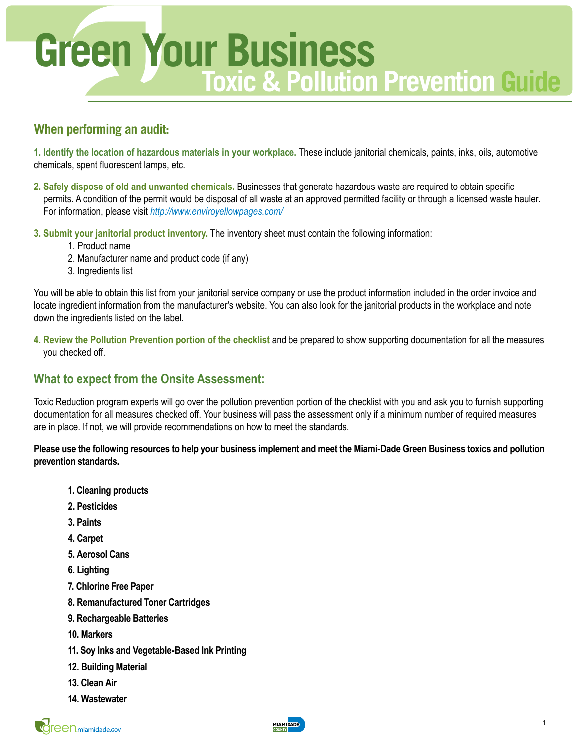

# **When performing an audit:**

**1. Identify the location of hazardous materials in your workplace.** These include janitorial chemicals, paints, inks, oils, automotive chemicals, spent fluorescent lamps, etc.

- **2. Safely dispose of old and unwanted chemicals.** Businesses that generate hazardous waste are required to obtain specific permits. A condition of the permit would be disposal of all waste at an approved permitted facility or through a licensed waste hauler. For information, please visit *<http://www.enviroyellowpages.com/>*
- **3. Submit your janitorial product inventory.** The inventory sheet must contain the following information:
	- 1. Product name
	- 2. Manufacturer name and product code (if any)
	- 3. Ingredients list

You will be able to obtain this list from your janitorial service company or use the product information included in the order invoice and locate ingredient information from the manufacturer's website. You can also look for the janitorial products in the workplace and note down the ingredients listed on the label.

**4. Review the Pollution Prevention portion of the checklist** and be prepared to show supporting documentation for all the measures you checked off.

## **What to expect from the Onsite Assessment:**

Toxic Reduction program experts will go over the pollution prevention portion of the checklist with you and ask you to furnish supporting documentation for all measures checked off. Your business will pass the assessment only if a minimum number of required measures are in place. If not, we will provide recommendations on how to meet the standards.

**Please use the following resources to help your business implement and meet the Miami-Dade Green Business toxics and pollution prevention standards.**

- **1. Cleaning products**
- **2. Pesticides**
- **3. Paints**
- **4. Carpet**
- **5. Aerosol Cans**
- **6. Lighting**
- **7. Chlorine Free Paper**
- **8. Remanufactured Toner Cartridges**
- **9. Rechargeable Batteries**
- **10. Markers**
- **11. Soy Inks and Vegetable-Based Ink Printing**
- **12. Building Material**
- **13. Clean Air**
- **14. Wastewater**

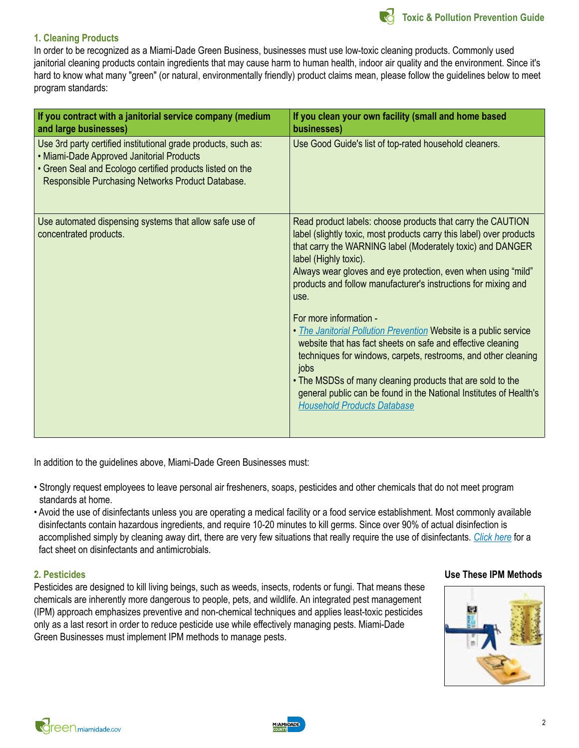

#### **1. Cleaning Products**

In order to be recognized as a Miami-Dade Green Business, businesses must use low-toxic cleaning products. Commonly used janitorial cleaning products contain ingredients that may cause harm to human health, indoor air quality and the environment. Since it's hard to know what many "green" (or natural, environmentally friendly) product claims mean, please follow the guidelines below to meet program standards:

| If you contract with a janitorial service company (medium<br>and large businesses)                                                                                                                                            | If you clean your own facility (small and home based<br>businesses)                                                                                                                                                                                                                                                                                                                                                   |
|-------------------------------------------------------------------------------------------------------------------------------------------------------------------------------------------------------------------------------|-----------------------------------------------------------------------------------------------------------------------------------------------------------------------------------------------------------------------------------------------------------------------------------------------------------------------------------------------------------------------------------------------------------------------|
| Use 3rd party certified institutional grade products, such as:<br>• Miami-Dade Approved Janitorial Products<br>• Green Seal and Ecologo certified products listed on the<br>Responsible Purchasing Networks Product Database. | Use Good Guide's list of top-rated household cleaners.                                                                                                                                                                                                                                                                                                                                                                |
| Use automated dispensing systems that allow safe use of<br>concentrated products.                                                                                                                                             | Read product labels: choose products that carry the CAUTION<br>label (slightly toxic, most products carry this label) over products<br>that carry the WARNING label (Moderately toxic) and DANGER<br>label (Highly toxic).<br>Always wear gloves and eye protection, even when using "mild"<br>products and follow manufacturer's instructions for mixing and<br>use.                                                 |
|                                                                                                                                                                                                                               | For more information -<br>• <i>The Janitorial Pollution Prevention</i> Website is a public service<br>website that has fact sheets on safe and effective cleaning<br>techniques for windows, carpets, restrooms, and other cleaning<br>jobs<br>. The MSDSs of many cleaning products that are sold to the<br>general public can be found in the National Institutes of Health's<br><b>Household Products Database</b> |

In addition to the guidelines above, Miami-Dade Green Businesses must:

- Strongly request employees to leave personal air fresheners, soaps, pesticides and other chemicals that do not meet program standards at home.
- Avoid the use of disinfectants unless you are operating a medical facility or a food service establishment. Most commonly available disinfectants contain hazardous ingredients, and require 10-20 minutes to kill germs. Since over 90% of actual disinfection is accomplished simply by cleaning away dirt, there are very few situations that really require the use of disinfectants. *[Click here](http://watoxics.org/files/antimicrobials.pdf)* for a fact sheet on disinfectants and antimicrobials.

#### **2. Pesticides**

Pesticides are designed to kill living beings, such as weeds, insects, rodents or fungi. That means these chemicals are inherently more dangerous to people, pets, and wildlife. An integrated pest management (IPM) approach emphasizes preventive and non-chemical techniques and applies least-toxic pesticides only as a last resort in order to reduce pesticide use while effectively managing pests. Miami-Dade Green Businesses must implement IPM methods to manage pests.

#### **Use These IPM Methods**



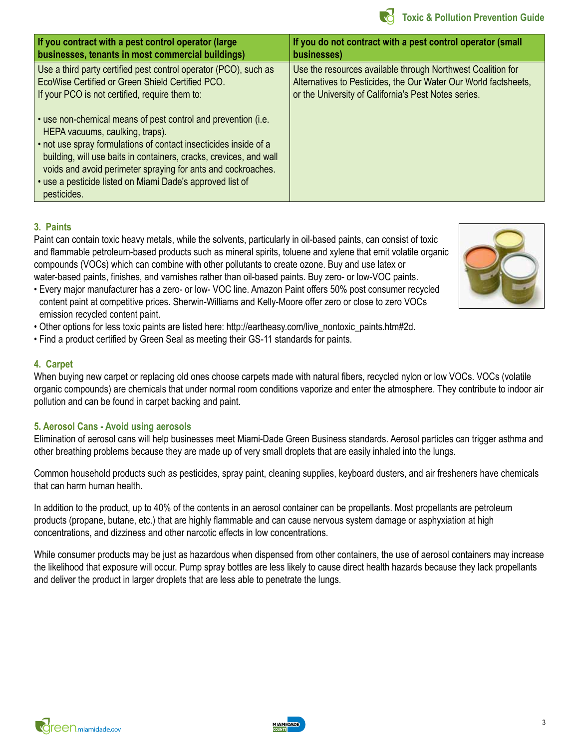

| If you contract with a pest control operator (large                                                                                                                                                                                                                                                                                                                                    | If you do not contract with a pest control operator (small      |
|----------------------------------------------------------------------------------------------------------------------------------------------------------------------------------------------------------------------------------------------------------------------------------------------------------------------------------------------------------------------------------------|-----------------------------------------------------------------|
| businesses, tenants in most commercial buildings)                                                                                                                                                                                                                                                                                                                                      | businesses)                                                     |
| Use a third party certified pest control operator (PCO), such as                                                                                                                                                                                                                                                                                                                       | Use the resources available through Northwest Coalition for     |
| EcoWise Certified or Green Shield Certified PCO.                                                                                                                                                                                                                                                                                                                                       | Alternatives to Pesticides, the Our Water Our World factsheets, |
| If your PCO is not certified, require them to:                                                                                                                                                                                                                                                                                                                                         | or the University of California's Pest Notes series.            |
| • use non-chemical means of pest control and prevention (i.e.<br>HEPA vacuums, caulking, traps).<br>. not use spray formulations of contact insecticides inside of a<br>building, will use baits in containers, cracks, crevices, and wall<br>voids and avoid perimeter spraying for ants and cockroaches.<br>· use a pesticide listed on Miami Dade's approved list of<br>pesticides. |                                                                 |

#### **3. Paints**

Paint can contain toxic heavy metals, while the solvents, particularly in oil-based paints, can consist of toxic and flammable petroleum-based products such as mineral spirits, toluene and xylene that emit volatile organic compounds (VOCs) which can combine with other pollutants to create ozone. Buy and use latex or water-based paints, finishes, and varnishes rather than oil-based paints. Buy zero- or low-VOC paints.



- Every major manufacturer has a zero- or low- VOC line. Amazon Paint offers 50% post consumer recycled content paint at competitive prices. Sherwin-Williams and Kelly-Moore offer zero or close to zero VOCs emission recycled content paint.
- Other options for less toxic paints are listed here: http://eartheasy.com/live\_nontoxic\_paints.htm#2d.
- Find a product certified by Green Seal as meeting their GS-11 standards for paints.

#### **4. Carpet**

When buying new carpet or replacing old ones choose carpets made with natural fibers, recycled nylon or low VOCs. VOCs (volatile organic compounds) are chemicals that under normal room conditions vaporize and enter the atmosphere. They contribute to indoor air pollution and can be found in carpet backing and paint.

#### **5. Aerosol Cans - Avoid using aerosols**

Elimination of aerosol cans will help businesses meet Miami-Dade Green Business standards. Aerosol particles can trigger asthma and other breathing problems because they are made up of very small droplets that are easily inhaled into the lungs.

Common household products such as pesticides, spray paint, cleaning supplies, keyboard dusters, and air fresheners have chemicals that can harm human health.

In addition to the product, up to 40% of the contents in an aerosol container can be propellants. Most propellants are petroleum products (propane, butane, etc.) that are highly flammable and can cause nervous system damage or asphyxiation at high concentrations, and dizziness and other narcotic effects in low concentrations.

While consumer products may be just as hazardous when dispensed from other containers, the use of aerosol containers may increase the likelihood that exposure will occur. Pump spray bottles are less likely to cause direct health hazards because they lack propellants and deliver the product in larger droplets that are less able to penetrate the lungs.

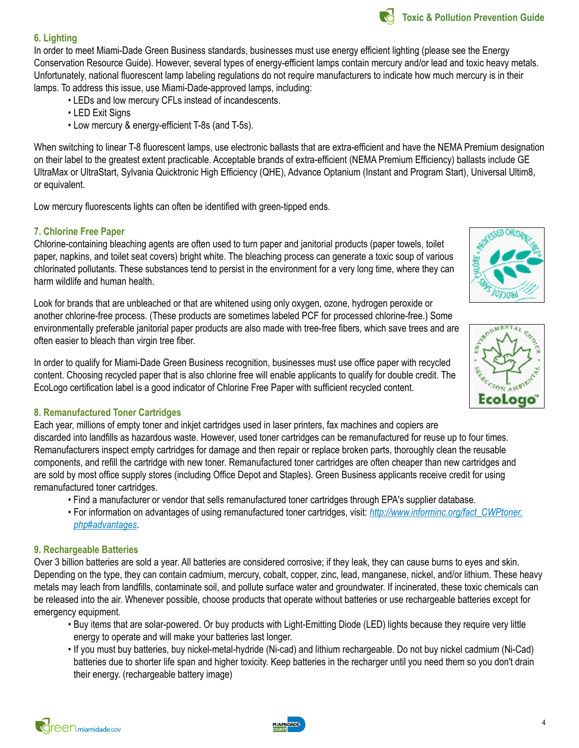

#### **6. Lighting**

In order to meet Miami-Dade Green Business standards, businesses must use energy efficient lighting (please see the Energy Conservation Resource Guide). However, several types of energy-efficient lamps contain mercury and/or lead and toxic heavy metals. Unfortunately, national fluorescent lamp labeling regulations do not require manufacturers to indicate how much mercury is in their lamps. To address this issue, use Miami-Dade-approved lamps, including:

- LEDs and low mercury CFLs instead of incandescents.
- LED Exit Signs
- Low mercury & energy-efficient T-8s (and T-5s).

When switching to linear T-8 fluorescent lamps, use electronic ballasts that are extra-efficient and have the NEMA Premium designation on their label to the greatest extent practicable. Acceptable brands of extra-efficient (NEMA Premium Efficiency) ballasts include GE UltraMax or UltraStart, Sylvania Quicktronic High Efficiency (QHE), Advance Optanium (Instant and Program Start), Universal Ultim8, or equivalent.

Low mercury fluorescents lights can often be identified with green-tipped ends.

#### **7. Chlorine Free Paper**

Chlorine-containing bleaching agents are often used to turn paper and janitorial products (paper towels, toilet paper, napkins, and toilet seat covers) bright white. The bleaching process can generate a toxic soup of various chlorinated pollutants. These substances tend to persist in the environment for a very long time, where they can harm wildlife and human health.

Look for brands that are unbleached or that are whitened using only oxygen, ozone, hydrogen peroxide or another chlorine-free process. (These products are sometimes labeled PCF for processed chlorine-free.) Some environmentally preferable janitorial paper products are also made with tree-free fibers, which save trees and are often easier to bleach than virgin tree fiber.

In order to qualify for Miami-Dade Green Business recognition, businesses must use office paper with recycled content. Choosing recycled paper that is also chlorine free will enable applicants to qualify for double credit. The EcoLogo certification label is a good indicator of Chlorine Free Paper with sufficient recycled content.

#### **8. Remanufactured Toner Cartridges**

Each year, millions of empty toner and inkjet cartridges used in laser printers, fax machines and copiers are discarded into landfills as hazardous waste. However, used toner cartridges can be remanufactured for reuse up to four times. Remanufacturers inspect empty cartridges for damage and then repair or replace broken parts, thoroughly clean the reusable components, and refill the cartridge with new toner. Remanufactured toner cartridges are often cheaper than new cartridges and are sold by most office supply stores (including Office Depot and Staples). Green Business applicants receive credit for using remanufactured toner cartridges.

- Find a manufacturer or vendor that sells remanufactured toner cartridges through EPA's supplier database.
- For information on advantages of using remanufactured toner cartridges, visit: *[http://www.informinc.org/fact\\_CWPtoner.](http://www.informinc.org/fact_CWPtoner.php#advantages) [php#advantages](http://www.informinc.org/fact_CWPtoner.php#advantages)*.

#### **9. Rechargeable Batteries**

Over 3 billion batteries are sold a year. All batteries are considered corrosive; if they leak, they can cause burns to eyes and skin. Depending on the type, they can contain cadmium, mercury, cobalt, copper, zinc, lead, manganese, nickel, and/or lithium. These heavy metals may leach from landfills, contaminate soil, and pollute surface water and groundwater. If incinerated, these toxic chemicals can be released into the air. Whenever possible, choose products that operate without batteries or use rechargeable batteries except for emergency equipment.

- Buy items that are solar-powered. Or buy products with Light-Emitting Diode (LED) lights because they require very little energy to operate and will make your batteries last longer.
- If you must buy batteries, buy nickel-metal-hydride (Ni-cad) and lithium rechargeable. Do not buy nickel cadmium (Ni-Cad) batteries due to shorter life span and higher toxicity. Keep batteries in the recharger until you need them so you don't drain their energy. (rechargeable battery image)